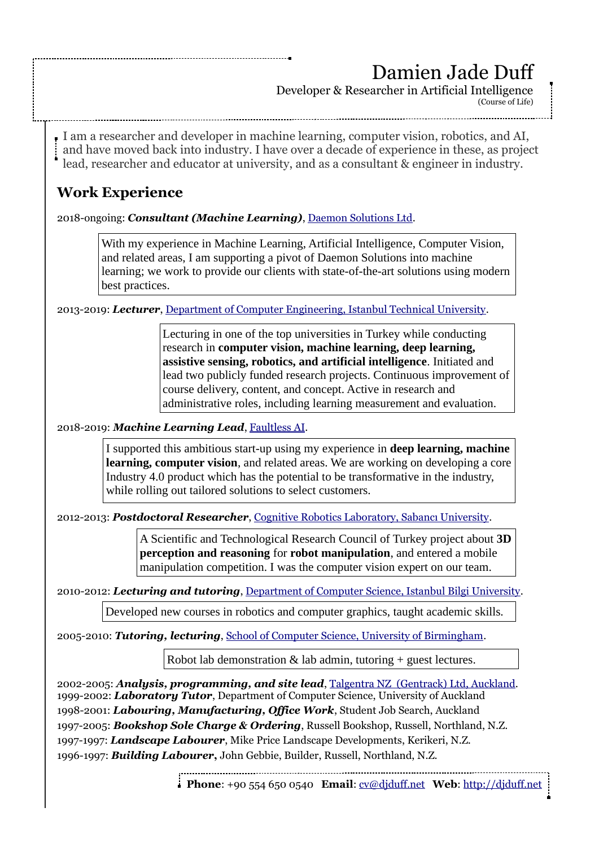I am a researcher and developer in machine learning, computer vision, robotics, and AI, and have moved back into industry. I have over a decade of experience in these, as project lead, researcher and educator at university, and as a consultant & engineer in industry. **Work Experience**  2018-ongoing: *Consultant (Machine Learning)*, [Daemon Solutions Ltd.](https://www.daemonsolutions.com/solutions/machine-learning/) 2013-2019: *Lecturer*, [Department of Computer Engineering, Istanbul Technical University.](http://bb.itu.edu.tr/en/) 2018-2019: *Machine Learning Lead*, [Faultless AI.](https://faultless.ai/) 2012-2013: *Postdoctoral Researcher*, [Cognitive Robotics Laboratory, Sabancı University.](http://cogrobo.sabanciuniv.edu/) 2010-2012: *Lecturing and tutoring*, [Department of Computer Science, Istanbul Bilgi University.](https://www.bilgi.edu.tr/en/) 2005-2010: *Tutoring, lecturing*, [School of Computer Science, University of Birmingham.](https://www.cs.bham.ac.uk/research/groupings/robotics/) 2002-2005: *Analysis, programming, and site lead*, [Talgentra NZ \(Gentrack\) Ltd, Auckland.](https://www.gentrack.com/) 1999-2002: *Laboratory Tutor*, Department of Computer Science, University of Auckland 1998-2001: *Labouring, Manufacturing, Office Work*, Student Job Search, Auckland 1997-2005: *Bookshop Sole Charge & Ordering*, Russell Bookshop, Russell, Northland, N.Z. 1997-1997: *Landscape Labourer*, Mike Price Landscape Developments, Kerikeri, N.Z. 1996-1997: *Building Labourer***,** John Gebbie, Builder, Russell, Northland, N.Z. Damien Jade Duff Developer & Researcher in Artificial Intelligence (Course of Life) Lecturing in one of the top universities in Turkey while conducting research in **computer vision, machine learning, deep learning, assistive sensing, robotics, and artificial intelligence**. Initiated and lead two publicly funded research projects. Continuous improvement of course delivery, content, and concept. Active in research and administrative roles, including learning measurement and evaluation. A Scientific and Technological Research Council of Turkey project about **3D perception and reasoning** for **robot manipulation**, and entered a mobile manipulation competition. I was the computer vision expert on our team. Developed new courses in robotics and computer graphics, taught academic skills. Robot lab demonstration & lab admin, tutoring + guest lectures. I supported this ambitious start-up using my experience in **deep learning, machine learning, computer vision**, and related areas. We are working on developing a core Industry 4.0 product which has the potential to be transformative in the industry, while rolling out tailored solutions to select customers. With my experience in Machine Learning, Artificial Intelligence, Computer Vision, and related areas, I am supporting a pivot of Daemon Solutions into machine learning; we work to provide our clients with state-of-the-art solutions using modern best practices.

**Phone**: +90 554 650 0540 **Email**: [cv@djduff.net](mailto:cv@djduff.net) **Web**: [http://djduff.net](http://djduff.net/)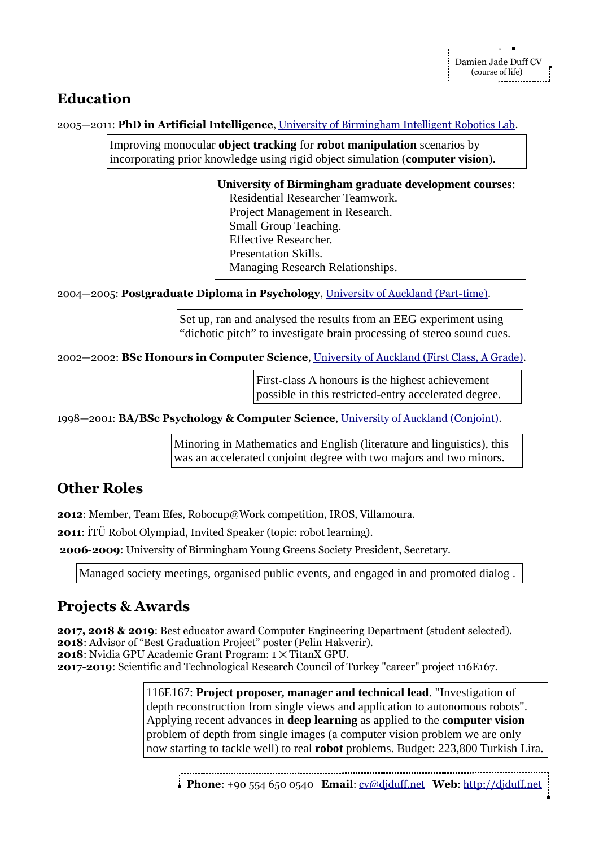## **Education**

2005—2011: **PhD in Artificial Intelligence**, [University of Birmingham Intelligent Robotics Lab.](https://www.cs.bham.ac.uk/research/groupings/robotics/)

Improving monocular **object tracking** for **robot manipulation** scenarios by incorporating prior knowledge using rigid object simulation (**computer vision**).

> **University of Birmingham graduate development courses**: Residential Researcher Teamwork. Project Management in Research. Small Group Teaching. Effective Researcher. Presentation Skills. Managing Research Relationships.

2004—2005: **Postgraduate Diploma in Psychology**, [University of Auckland \(Part-time\).](https://www.psych.auckland.ac.nz/en.html)

Set up, ran and analysed the results from an EEG experiment using "dichotic pitch" to investigate brain processing of stereo sound cues.

2002—2002: **BSc Honours in Computer Science**, [University of Auckland \(First Class, A Grade\).](https://www.cs.auckland.ac.nz/en.html)

First-class A honours is the highest achievement possible in this restricted-entry accelerated degree.

1998—2001: **BA/BSc Psychology & Computer Science**, [University of Auckland \(Conjoint\).](https://www.auckland.ac.nz/en.html)

Minoring in Mathematics and English (literature and linguistics), this was an accelerated conjoint degree with two majors and two minors.

## **Other Roles**

**2012**: Member, Team Efes, Robocup@Work competition, IROS, Villamoura.

**2011**: İTÜ Robot Olympiad, Invited Speaker (topic: robot learning).

**2006-2009**: University of Birmingham Young Greens Society President, Secretary.

Managed society meetings, organised public events, and engaged in and promoted dialog .

# **Projects & Awards**

**2017, 2018 & 2019**: Best educator award Computer Engineering Department (student selected). **2018**: Advisor of "Best Graduation Project" poster (Pelin Hakverir). **2018**: Nvidia GPU Academic Grant Program: 1  $\times$  TitanX GPU. **2017-2019**: Scientific and Technological Research Council of Turkey "career" project 116E167.

> 116E167: **Project proposer, manager and technical lead**. "Investigation of depth reconstruction from single views and application to autonomous robots". Applying recent advances in **deep learning** as applied to the **computer vision** problem of depth from single images (a computer vision problem we are only now starting to tackle well) to real **robot** problems. Budget: 223,800 Turkish Lira.

**Phone**: +90 554 650 0540 **Email**: [cv@djduff.net](mailto:cv@djduff.net) **Web**: [http://djduff.net](http://djduff.net/)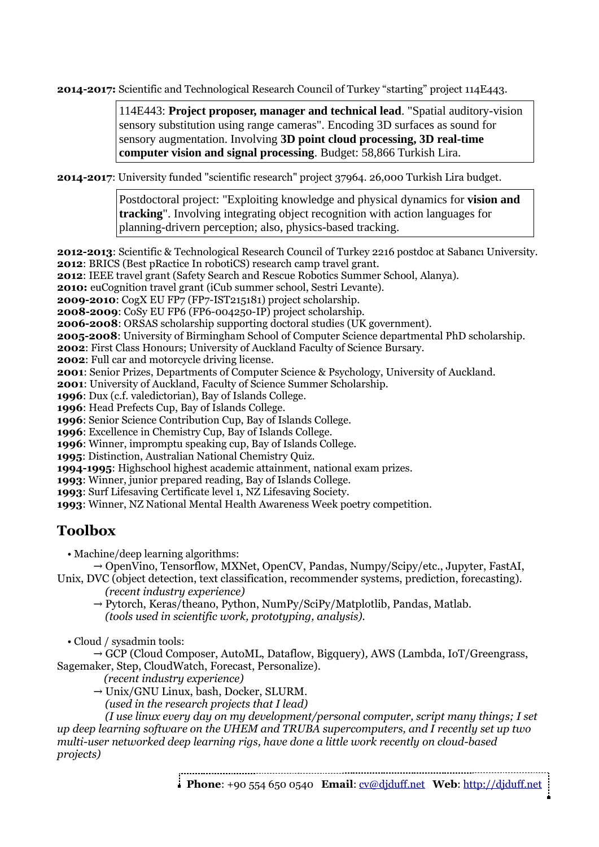**2014-2017:** Scientific and Technological Research Council of Turkey "starting" project 114E443.

114E443: **Project proposer, manager and technical lead**. "Spatial auditory-vision sensory substitution using range cameras". Encoding 3D surfaces as sound for sensory augmentation. Involving **3D point cloud processing, 3D real-time computer vision and signal processing**. Budget: 58,866 Turkish Lira.

**2014-2017**: University funded "scientific research" project 37964. 26,000 Turkish Lira budget.

Postdoctoral project: "Exploiting knowledge and physical dynamics for **vision and tracking**". Involving integrating object recognition with action languages for planning-drivern perception; also, physics-based tracking.

**2012-2013**: Scientific & Technological Research Council of Turkey 2216 postdoc at Sabancı University. **2012**: BRICS (Best pRactice In robotiCS) research camp travel grant.

**2012**: IEEE travel grant (Safety Search and Rescue Robotics Summer School, Alanya).

**2010:** euCognition travel grant (iCub summer school, Sestri Levante).

**2009-2010**: CogX EU FP7 (FP7-IST215181) project scholarship.

**2008-2009**: CoSy EU FP6 (FP6-004250-IP) project scholarship.

**2006-2008**: ORSAS scholarship supporting doctoral studies (UK government).

**2005-2008**: University of Birmingham School of Computer Science departmental PhD scholarship.

**2002**: First Class Honours; University of Auckland Faculty of Science Bursary.

**2002**: Full car and motorcycle driving license.

**2001**: Senior Prizes, Departments of Computer Science & Psychology, University of Auckland.

**2001**: University of Auckland, Faculty of Science Summer Scholarship.

**1996**: Dux (c.f. valedictorian), Bay of Islands College.

**1996**: Head Prefects Cup, Bay of Islands College.

**1996**: Senior Science Contribution Cup, Bay of Islands College.

**1996**: Excellence in Chemistry Cup, Bay of Islands College.

**1996**: Winner, impromptu speaking cup, Bay of Islands College.

**1995**: Distinction, Australian National Chemistry Quiz.

**1994-1995**: Highschool highest academic attainment, national exam prizes.

**1993**: Winner, junior prepared reading, Bay of Islands College.

**1993**: Surf Lifesaving Certificate level 1, NZ Lifesaving Society.

**1993**: Winner, NZ National Mental Health Awareness Week poetry competition.

#### **Toolbox**

• Machine/deep learning algorithms:

→ OpenVino, Tensorflow, MXNet, OpenCV, Pandas, Numpy/Scipy/etc., Jupyter, FastAI,

Unix, DVC (object detection, text classification, recommender systems, prediction, forecasting). *(recent industry experience)*

 $\rightarrow$  Pytorch, Keras/theano, Python, NumPy/SciPy/Matplotlib, Pandas, Matlab. *(tools used in scientific work, prototyping, analysis).*

• Cloud / sysadmin tools:

 GCP (Cloud Composer, AutoML, Dataflow, Bigquery)*,* AWS (Lambda, IoT/Greengrass, Sagemaker, Step, CloudWatch, Forecast, Personalize).

*(recent industry experience)*

 $\rightarrow$  Unix/GNU Linux, bash, Docker, SLURM.

*(used in the research projects that I lead)*

 *(I use linux every day on my development/personal computer, script many things; I set up deep learning software on the UHEM and TRUBA supercomputers, and I recently set up two multi-user networked deep learning rigs, have done a little work recently on cloud-based projects)*

**Phone**: +90 554 650 0540 **Email**: [cv@djduff.net](mailto:cv@djduff.net) **Web**: [http://djduff.net](http://djduff.net/)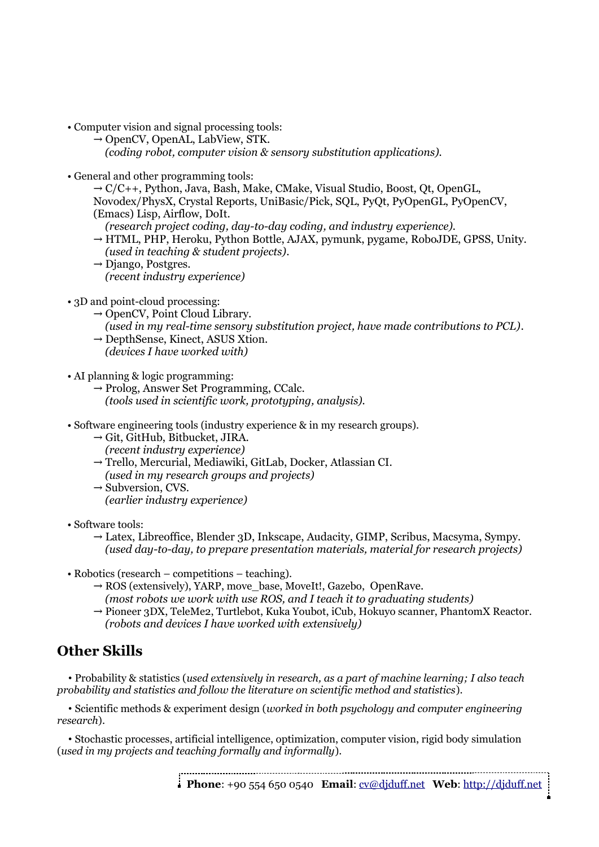- Computer vision and signal processing tools:
	- $\rightarrow$  OpenCV, OpenAL, LabView, STK.  *(coding robot, computer vision & sensory substitution applications).*
- General and other programming tools:

 $\rightarrow$  C/C++, Python, Java, Bash, Make, CMake, Visual Studio, Boost, Ot, OpenGL, Novodex/PhysX, Crystal Reports, UniBasic/Pick, SQL, PyQt, PyOpenGL, PyOpenCV, (Emacs) Lisp, Airflow, DoIt.

*(research project coding, day-to-day coding, and industry experience).*

- $\rightarrow$  HTML, PHP, Heroku, Python Bottle, AJAX, pymunk, pygame, RoboJDE, GPSS, Unity. *(used in teaching & student projects)*.
- $\rightarrow$  Django, Postgres. *(recent industry experience)*
- 3D and point-cloud processing:
	- $\rightarrow$  OpenCV, Point Cloud Library.
	- *(used in my real-time sensory substitution project, have made contributions to PCL)*.
	- $\rightarrow$  DepthSense, Kinect, ASUS Xtion.
	- *(devices I have worked with)*
- AI planning & logic programming:
	- $\rightarrow$  Prolog, Answer Set Programming, CCalc. *(tools used in scientific work, prototyping, analysis).*
- Software engineering tools (industry experience & in my research groups).
	- $\rightarrow$  Git, GitHub, Bitbucket, JIRA.
		- *(recent industry experience)*
	- Trello, Mercurial, Mediawiki, GitLab, Docker, Atlassian CI.
	- *(used in my research groups and projects)*
	- $\rightarrow$  Subversion, CVS.
		- *(earlier industry experience)*
- Software tools:
	- $\rightarrow$  Latex, Libreoffice, Blender 3D, Inkscape, Audacity, GIMP, Scribus, Macsyma, Sympy. *(used day-to-day, to prepare presentation materials, material for research projects)*
- Robotics (research competitions teaching).
	- $\rightarrow$  ROS (extensively), YARP, move\_base, MoveIt!, Gazebo, OpenRave.
		- *(most robots we work with use ROS, and I teach it to graduating students)*
	- → Pioneer 3DX, TeleMe2, Turtlebot, Kuka Youbot, iCub, Hokuyo scanner, PhantomX Reactor. *(robots and devices I have worked with extensively)*

## **Other Skills**

 • Probability & statistics (*used extensively in research, as a part of machine learning; I also teach probability and statistics and follow the literature on scientific method and statistics*).

 • Scientific methods & experiment design (*worked in both psychology and computer engineering research*).

 • Stochastic processes, artificial intelligence, optimization, computer vision, rigid body simulation (*used in my projects and teaching formally and informally*).